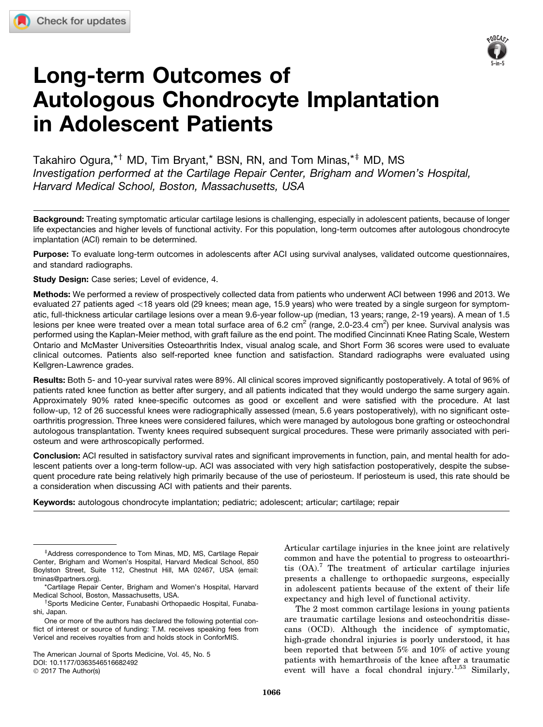

# Long-term Outcomes of Autologous Chondrocyte Implantation in Adolescent Patients

Takahiro Ogura,<sup>\*†</sup> MD, Tim Bryant,\* BSN, RN, and Tom Minas,<sup>\*‡</sup> MD, MS *Investigation performed at the Cartilage Repair Center, Brigham and Women's Hospital, Harvard Medical School, Boston, Massachusetts, USA*

Background: Treating symptomatic articular cartilage lesions is challenging, especially in adolescent patients, because of longer life expectancies and higher levels of functional activity. For this population, long-term outcomes after autologous chondrocyte implantation (ACI) remain to be determined.

Purpose: To evaluate long-term outcomes in adolescents after ACI using survival analyses, validated outcome questionnaires, and standard radiographs.

Study Design: Case series; Level of evidence, 4.

Methods: We performed a review of prospectively collected data from patients who underwent ACI between 1996 and 2013. We evaluated 27 patients aged <18 years old (29 knees; mean age, 15.9 years) who were treated by a single surgeon for symptomatic, full-thickness articular cartilage lesions over a mean 9.6-year follow-up (median, 13 years; range, 2-19 years). A mean of 1.5 lesions per knee were treated over a mean total surface area of 6.2 cm<sup>2</sup> (range, 2.0-23.4 cm<sup>2</sup>) per knee. Survival analysis was performed using the Kaplan-Meier method, with graft failure as the end point. The modified Cincinnati Knee Rating Scale, Western Ontario and McMaster Universities Osteoarthritis Index, visual analog scale, and Short Form 36 scores were used to evaluate clinical outcomes. Patients also self-reported knee function and satisfaction. Standard radiographs were evaluated using Kellgren-Lawrence grades.

Results: Both 5- and 10-year survival rates were 89%. All clinical scores improved significantly postoperatively. A total of 96% of patients rated knee function as better after surgery, and all patients indicated that they would undergo the same surgery again. Approximately 90% rated knee-specific outcomes as good or excellent and were satisfied with the procedure. At last follow-up, 12 of 26 successful knees were radiographically assessed (mean, 5.6 years postoperatively), with no significant osteoarthritis progression. Three knees were considered failures, which were managed by autologous bone grafting or osteochondral autologous transplantation. Twenty knees required subsequent surgical procedures. These were primarily associated with periosteum and were arthroscopically performed.

Conclusion: ACI resulted in satisfactory survival rates and significant improvements in function, pain, and mental health for adolescent patients over a long-term follow-up. ACI was associated with very high satisfaction postoperatively, despite the subsequent procedure rate being relatively high primarily because of the use of periosteum. If periosteum is used, this rate should be a consideration when discussing ACI with patients and their parents.

Keywords: autologous chondrocyte implantation; pediatric; adolescent; articular; cartilage; repair

The American Journal of Sports Medicine, Vol. 45, No. 5 DOI: [10.1177/0363546516682492](https://doi.org/10.1177/0363546516682492) © 2017 The Author(s)

Articular cartilage injuries in the knee joint are relatively common and have the potential to progress to osteoarthritis  $(OA)$ .<sup>7</sup> The treatment of articular cartilage injuries presents a challenge to orthopaedic surgeons, especially in adolescent patients because of the extent of their life expectancy and high level of functional activity.

The 2 most common cartilage lesions in young patients are traumatic cartilage lesions and osteochondritis dissecans (OCD). Although the incidence of symptomatic, high-grade chondral injuries is poorly understood, it has been reported that between 5% and 10% of active young patients with hemarthrosis of the knee after a traumatic event will have a focal chondral injury.<sup>1,53</sup> Similarly,

<sup>&</sup>lt;sup>‡</sup>Address correspondence to Tom Minas, MD, MS, Cartilage Repair Center, Brigham and Women's Hospital, Harvard Medical School, 850 Boylston Street, Suite 112, Chestnut Hill, MA 02467, USA (email: tminas@partners.org).

<sup>\*</sup>Cartilage Repair Center, Brigham and Women's Hospital, Harvard Medical School, Boston, Massachusetts, USA.

Sports Medicine Center, Funabashi Orthopaedic Hospital, Funabashi, Japan.

One or more of the authors has declared the following potential conflict of interest or source of funding: T.M. receives speaking fees from Vericel and receives royalties from and holds stock in ConforMIS.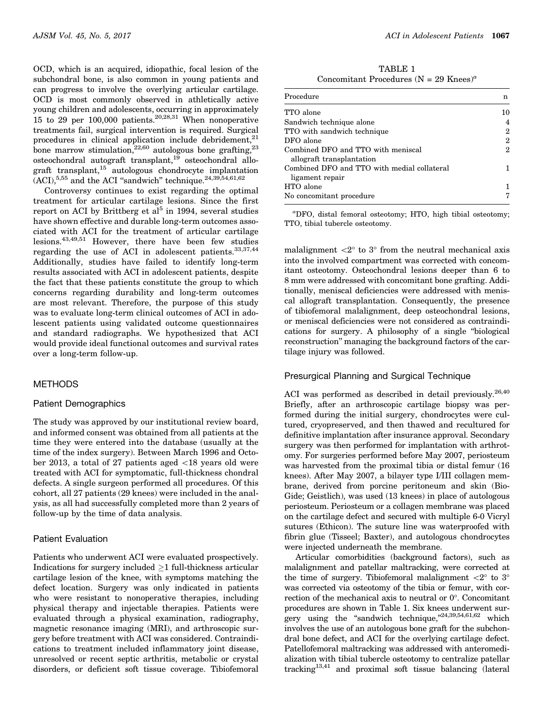OCD, which is an acquired, idiopathic, focal lesion of the subchondral bone, is also common in young patients and can progress to involve the overlying articular cartilage. OCD is most commonly observed in athletically active young children and adolescents, occurring in approximately 15 to 29 per 100,000 patients.20,28,31 When nonoperative treatments fail, surgical intervention is required. Surgical procedures in clinical application include debridement, $^{21}$ bone marrow stimulation, $^{22,60}$  autologous bone grafting, $^{23}$ osteochondral autograft transplant,<sup>19</sup> osteochondral allograft transplant,15 autologous chondrocyte implantation  $(ACI)$ ,  $^{5,55}$  and the ACI "sandwich" technique.<sup>24,39,54,61,62</sup>

Controversy continues to exist regarding the optimal treatment for articular cartilage lesions. Since the first report on ACI by Brittberg et  $al<sup>5</sup>$  in 1994, several studies have shown effective and durable long-term outcomes associated with ACI for the treatment of articular cartilage lesions.43,49,51 However, there have been few studies regarding the use of ACI in adolescent patients. $33,37,44$ Additionally, studies have failed to identify long-term results associated with ACI in adolescent patients, despite the fact that these patients constitute the group to which concerns regarding durability and long-term outcomes are most relevant. Therefore, the purpose of this study was to evaluate long-term clinical outcomes of ACI in adolescent patients using validated outcome questionnaires and standard radiographs. We hypothesized that ACI would provide ideal functional outcomes and survival rates over a long-term follow-up.

# METHODS

#### Patient Demographics

The study was approved by our institutional review board, and informed consent was obtained from all patients at the time they were entered into the database (usually at the time of the index surgery). Between March 1996 and October 2013, a total of 27 patients aged  $\langle 18 \rangle$  years old were treated with ACI for symptomatic, full-thickness chondral defects. A single surgeon performed all procedures. Of this cohort, all 27 patients (29 knees) were included in the analysis, as all had successfully completed more than 2 years of follow-up by the time of data analysis.

## Patient Evaluation

Patients who underwent ACI were evaluated prospectively. Indications for surgery included  $\geq$ 1 full-thickness articular cartilage lesion of the knee, with symptoms matching the defect location. Surgery was only indicated in patients who were resistant to nonoperative therapies, including physical therapy and injectable therapies. Patients were evaluated through a physical examination, radiography, magnetic resonance imaging (MRI), and arthroscopic surgery before treatment with ACI was considered. Contraindications to treatment included inflammatory joint disease, unresolved or recent septic arthritis, metabolic or crystal disorders, or deficient soft tissue coverage. Tibiofemoral

TABLE 1 Concomitant Procedures (N = 29 Knees)<sup>a</sup>

| Procedure                                                       | n  |
|-----------------------------------------------------------------|----|
| TTO alone                                                       | 10 |
| Sandwich technique alone                                        |    |
| TTO with sandwich technique                                     | 2  |
| DFO alone                                                       | 2  |
| Combined DFO and TTO with meniscal<br>allograft transplantation | 2  |
| Combined DFO and TTO with medial collateral<br>ligament repair  |    |
| HTO alone<br>No concomitant procedure                           |    |

a DFO, distal femoral osteotomy; HTO, high tibial osteotomy; TTO, tibial tubercle osteotomy.

malalignment  $\langle 2^{\circ} \text{ to } 3^{\circ} \text{ from the neutral mechanical axis} \rangle$ into the involved compartment was corrected with concomitant osteotomy. Osteochondral lesions deeper than 6 to 8 mm were addressed with concomitant bone grafting. Additionally, meniscal deficiencies were addressed with meniscal allograft transplantation. Consequently, the presence of tibiofemoral malalignment, deep osteochondral lesions, or meniscal deficiencies were not considered as contraindications for surgery. A philosophy of a single ''biological reconstruction'' managing the background factors of the cartilage injury was followed.

# Presurgical Planning and Surgical Technique

ACI was performed as described in detail previously.<sup>26,40</sup> Briefly, after an arthroscopic cartilage biopsy was performed during the initial surgery, chondrocytes were cultured, cryopreserved, and then thawed and recultured for definitive implantation after insurance approval. Secondary surgery was then performed for implantation with arthrotomy. For surgeries performed before May 2007, periosteum was harvested from the proximal tibia or distal femur (16 knees). After May 2007, a bilayer type I/III collagen membrane, derived from porcine peritoneum and skin (Bio-Gide; Geistlich), was used (13 knees) in place of autologous periosteum. Periosteum or a collagen membrane was placed on the cartilage defect and secured with multiple 6-0 Vicryl sutures (Ethicon). The suture line was waterproofed with fibrin glue (Tisseel; Baxter), and autologous chondrocytes were injected underneath the membrane.

Articular comorbidities (background factors), such as malalignment and patellar maltracking, were corrected at the time of surgery. Tibiofemoral malalignment  $\langle 2^{\circ} \text{ to } 3^{\circ} \rangle$ was corrected via osteotomy of the tibia or femur, with correction of the mechanical axis to neutral or  $0^\circ$ . Concomitant procedures are shown in Table 1. Six knees underwent surgery using the "sandwich technique,"24,39,54,61,62 which involves the use of an autologous bone graft for the subchondral bone defect, and ACI for the overlying cartilage defect. Patellofemoral maltracking was addressed with anteromedialization with tibial tubercle osteotomy to centralize patellar tracking<sup>13,41</sup> and proximal soft tissue balancing (lateral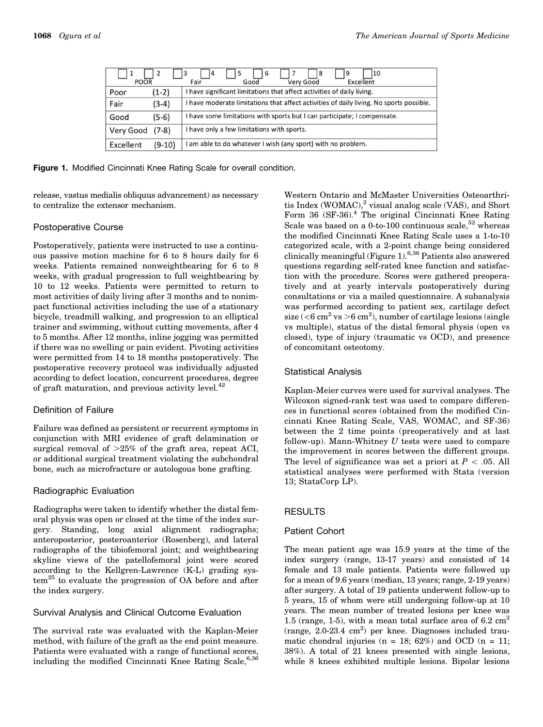| POOR      |         | 10<br>8<br>-6<br>14<br>3<br>د ا<br>Very Good<br>Excellent<br>Good<br>Fair               |  |  |  |
|-----------|---------|-----------------------------------------------------------------------------------------|--|--|--|
| Poor      | (1-2)   | I have significant limitations that affect activities of daily living.                  |  |  |  |
| Fair      | $(3-4)$ | I have moderate limitations that affect activities of daily living. No sports possible. |  |  |  |
| Good      | $(5-6)$ | I have some limitations with sports but I can participate; I compensate.                |  |  |  |
| Very Good | $(7-8)$ | I have only a few limitations with sports.                                              |  |  |  |
| Excellent | (9-10)  | I am able to do whatever I wish (any sport) with no problem.                            |  |  |  |

Figure 1. Modified Cincinnati Knee Rating Scale for overall condition.

release, vastus medialis obliquus advancement) as necessary to centralize the extensor mechanism.

## Postoperative Course

Postoperatively, patients were instructed to use a continuous passive motion machine for 6 to 8 hours daily for 6 weeks. Patients remained nonweightbearing for 6 to 8 weeks, with gradual progression to full weightbearing by 10 to 12 weeks. Patients were permitted to return to most activities of daily living after 3 months and to nonimpact functional activities including the use of a stationary bicycle, treadmill walking, and progression to an elliptical trainer and swimming, without cutting movements, after 4 to 5 months. After 12 months, inline jogging was permitted if there was no swelling or pain evident. Pivoting activities were permitted from 14 to 18 months postoperatively. The postoperative recovery protocol was individually adjusted according to defect location, concurrent procedures, degree of graft maturation, and previous activity level.<sup>42</sup>

# Definition of Failure

Failure was defined as persistent or recurrent symptoms in conjunction with MRI evidence of graft delamination or surgical removal of  $>25\%$  of the graft area, repeat ACI, or additional surgical treatment violating the subchondral bone, such as microfracture or autologous bone grafting.

## Radiographic Evaluation

Radiographs were taken to identify whether the distal femoral physis was open or closed at the time of the index surgery. Standing, long axial alignment radiographs; anteroposterior, posteroanterior (Rosenberg), and lateral radiographs of the tibiofemoral joint; and weightbearing skyline views of the patellofemoral joint were scored according to the Kellgren-Lawrence (K-L) grading system<sup>25</sup> to evaluate the progression of OA before and after the index surgery.

## Survival Analysis and Clinical Outcome Evaluation

The survival rate was evaluated with the Kaplan-Meier method, with failure of the graft as the end point measure. Patients were evaluated with a range of functional scores, including the modified Cincinnati Knee Rating Scale,  $6,36$  Western Ontario and McMaster Universities Osteoarthritis Index (WOMAC), $^2$  visual analog scale (VAS), and Short Form 36  $(SF-36)<sup>4</sup>$  The original Cincinnati Knee Rating Scale was based on a 0-to-100 continuous scale,  $52$  whereas the modified Cincinnati Knee Rating Scale uses a 1-to-10 categorized scale, with a 2-point change being considered clinically meaningful (Figure 1).<sup>6,36</sup> Patients also answered questions regarding self-rated knee function and satisfaction with the procedure. Scores were gathered preoperatively and at yearly intervals postoperatively during consultations or via a mailed questionnaire. A subanalysis was performed according to patient sex, cartilage defect size ( $<$ 6 cm<sup>2</sup> vs  $>$ 6 cm<sup>2</sup>), number of cartilage lesions (single vs multiple), status of the distal femoral physis (open vs closed), type of injury (traumatic vs OCD), and presence of concomitant osteotomy.

## Statistical Analysis

Kaplan-Meier curves were used for survival analyses. The Wilcoxon signed-rank test was used to compare differences in functional scores (obtained from the modified Cincinnati Knee Rating Scale, VAS, WOMAC, and SF-36) between the 2 time points (preoperatively and at last follow-up). Mann-Whitney  $U$  tests were used to compare the improvement in scores between the different groups. The level of significance was set a priori at  $P < .05$ . All statistical analyses were performed with Stata (version 13; StataCorp LP).

# RESULTS

# Patient Cohort

The mean patient age was 15.9 years at the time of the index surgery (range, 13-17 years) and consisted of 14 female and 13 male patients. Patients were followed up for a mean of 9.6 years (median, 13 years; range, 2-19 years) after surgery. A total of 19 patients underwent follow-up to 5 years, 15 of whom were still undergoing follow-up at 10 years. The mean number of treated lesions per knee was 1.5 (range, 1-5), with a mean total surface area of 6.2  $\text{cm}^2$  $(range, 2.0-23.4 cm<sup>2</sup>)$  per knee. Diagnoses included traumatic chondral injuries ( $n = 18$ ; 62%) and OCD ( $n = 11$ ; 38%). A total of 21 knees presented with single lesions, while 8 knees exhibited multiple lesions. Bipolar lesions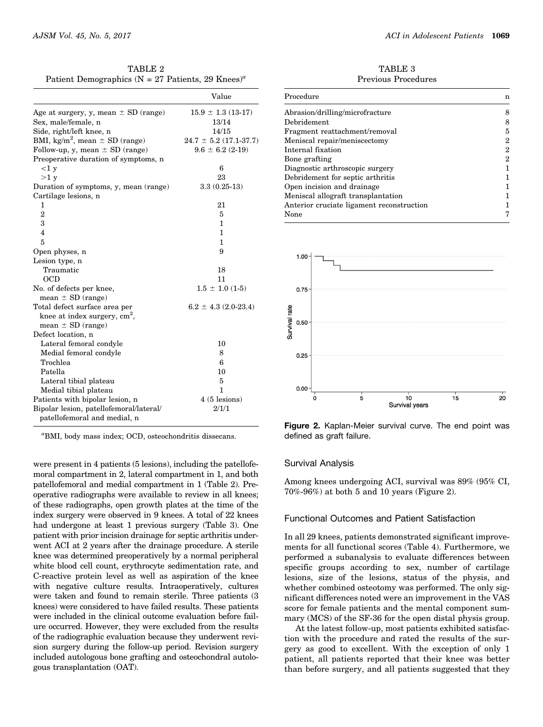| TABLE 2                                                                 |  |
|-------------------------------------------------------------------------|--|
| Patient Demographics ( $N = 27$ Patients, 29 Knees) <sup><i>a</i></sup> |  |

|                                                | Value                      |
|------------------------------------------------|----------------------------|
| Age at surgery, y, mean $\pm$ SD (range)       | $15.9 \pm 1.3$ (13-17)     |
| Sex, male/female, n                            | 13/14                      |
| Side, right/left knee, n                       | 14/15                      |
| BMI, kg/m <sup>2</sup> , mean $\pm$ SD (range) | $24.7 \pm 5.2$ (17.1-37.7) |
| Follow-up, y, mean $\pm$ SD (range)            | $9.6 \pm 6.2$ (2-19)       |
| Preoperative duration of symptoms, n           |                            |
| <1 y                                           | 6                          |
| >1 y                                           | 23                         |
| Duration of symptoms, y, mean (range)          | $3.3(0.25-13)$             |
| Cartilage lesions, n                           |                            |
| 1                                              | 21                         |
| $\overline{2}$                                 | 5                          |
| 3                                              | 1                          |
| $\overline{4}$                                 | 1                          |
| 5                                              | 1                          |
| Open physes, n                                 | 9                          |
| Lesion type, n                                 |                            |
| Traumatic                                      | 18                         |
| OCD                                            | 11                         |
| No. of defects per knee,                       | $1.5 \pm 1.0$ (1-5)        |
| mean $\pm$ SD (range)                          |                            |
| Total defect surface area per                  | $6.2 \pm 4.3$ (2.0-23.4)   |
| knee at index surgery, $cm2$ ,                 |                            |
| mean $\pm$ SD (range)                          |                            |
| Defect location, n                             |                            |
| Lateral femoral condyle                        | 10                         |
| Medial femoral condyle                         | 8                          |
| Trochlea                                       | 6                          |
| Patella                                        | 10                         |
| Lateral tibial plateau                         | 5                          |
| Medial tibial plateau                          | 1                          |
| Patients with bipolar lesion, n                | $4(5$ lesions)             |
| Bipolar lesion, patellofemoral/lateral/        | 2/1/1                      |
| patellofemoral and medial, n                   |                            |

a BMI, body mass index; OCD, osteochondritis dissecans.

were present in 4 patients (5 lesions), including the patellofemoral compartment in 2, lateral compartment in 1, and both patellofemoral and medial compartment in 1 (Table 2). Preoperative radiographs were available to review in all knees; of these radiographs, open growth plates at the time of the index surgery were observed in 9 knees. A total of 22 knees had undergone at least 1 previous surgery (Table 3). One patient with prior incision drainage for septic arthritis underwent ACI at 2 years after the drainage procedure. A sterile knee was determined preoperatively by a normal peripheral white blood cell count, erythrocyte sedimentation rate, and C-reactive protein level as well as aspiration of the knee with negative culture results. Intraoperatively, cultures were taken and found to remain sterile. Three patients (3 knees) were considered to have failed results. These patients were included in the clinical outcome evaluation before failure occurred. However, they were excluded from the results of the radiographic evaluation because they underwent revision surgery during the follow-up period. Revision surgery included autologous bone grafting and osteochondral autologous transplantation (OAT).

TABLE 3 Previous Procedures

| Procedure                                 | n |
|-------------------------------------------|---|
| Abrasion/drilling/microfracture           | 8 |
| Debridement                               | 8 |
| Fragment reattachment/removal             | 5 |
| Meniscal repair/meniscectomy              | 2 |
| Internal fixation                         | 2 |
| Bone grafting                             | 2 |
| Diagnostic arthroscopic surgery           |   |
| Debridement for septic arthritis          |   |
| Open incision and drainage                |   |
| Meniscal allograft transplantation        |   |
| Anterior cruciate ligament reconstruction |   |
| None                                      | 7 |
|                                           |   |



Figure 2. Kaplan-Meier survival curve. The end point was defined as graft failure.

#### Survival Analysis

Among knees undergoing ACI, survival was 89% (95% CI, 70%-96%) at both 5 and 10 years (Figure 2).

## Functional Outcomes and Patient Satisfaction

In all 29 knees, patients demonstrated significant improvements for all functional scores (Table 4). Furthermore, we performed a subanalysis to evaluate differences between specific groups according to sex, number of cartilage lesions, size of the lesions, status of the physis, and whether combined osteotomy was performed. The only significant differences noted were an improvement in the VAS score for female patients and the mental component summary (MCS) of the SF-36 for the open distal physis group.

At the latest follow-up, most patients exhibited satisfaction with the procedure and rated the results of the surgery as good to excellent. With the exception of only 1 patient, all patients reported that their knee was better than before surgery, and all patients suggested that they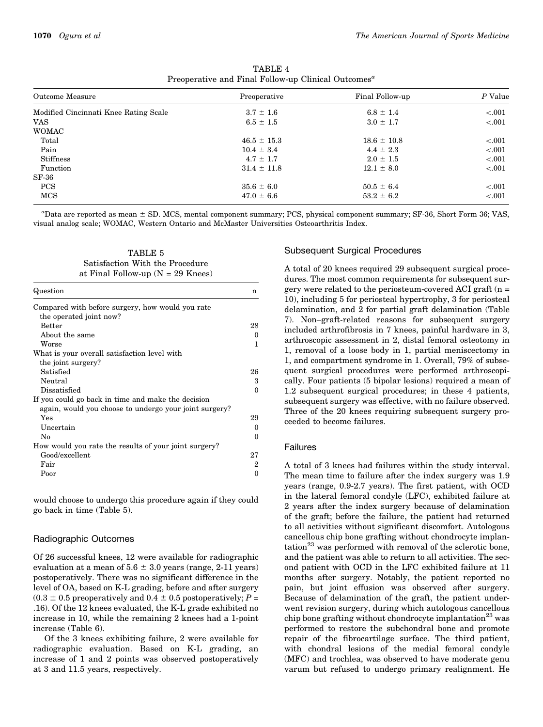| Outcome Measure                       | Preoperative    | Final Follow-up | P Value   |  |
|---------------------------------------|-----------------|-----------------|-----------|--|
| Modified Cincinnati Knee Rating Scale | $3.7 \pm 1.6$   | $6.8 \pm 1.4$   | < 0.001   |  |
| <b>VAS</b>                            | $6.5 \pm 1.5$   | $3.0 \pm 1.7$   | < 0.001   |  |
| <b>WOMAC</b>                          |                 |                 |           |  |
| Total                                 | $46.5 \pm 15.3$ | $18.6 \pm 10.8$ | $-.001$   |  |
| Pain                                  | $10.4 \pm 3.4$  | $4.4 \pm 2.3$   | $-.001$   |  |
| <b>Stiffness</b>                      | $4.7 \pm 1.7$   | $2.0 \pm 1.5$   | < 0.001   |  |
| Function                              | $31.4 \pm 11.8$ | $12.1 \pm 8.0$  | < 0.001   |  |
| $SF-36$                               |                 |                 |           |  |
| <b>PCS</b>                            | $35.6 \pm 6.0$  | $50.5 \pm 6.4$  | ${<}.001$ |  |
| <b>MCS</b>                            | $47.0 \pm 6.6$  | $53.2 \pm 6.2$  | < 0.001   |  |

TABLE 4 Preoperative and Final Follow-up Clinical Outcomes<sup>a</sup>

 $a_{\text{Data}}$  are reported as mean  $\pm$  SD. MCS, mental component summary; PCS, physical component summary; SF-36, Short Form 36; VAS, visual analog scale; WOMAC, Western Ontario and McMaster Universities Osteoarthritis Index.

TABLE 5 Satisfaction With the Procedure at Final Follow-up  $(N = 29$  Knees)

| Question                                               | n        |
|--------------------------------------------------------|----------|
| Compared with before surgery, how would you rate       |          |
| the operated joint now?                                |          |
| <b>Better</b>                                          | 28       |
| About the same                                         | $\Omega$ |
| Worse                                                  | 1        |
| What is your overall satisfaction level with           |          |
| the joint surgery?                                     |          |
| Satisfied                                              | 26       |
| Neutral                                                | 3        |
| Dissatisfied                                           | 0        |
| If you could go back in time and make the decision     |          |
| again, would you choose to undergo your joint surgery? |          |
| Yes                                                    | 29       |
| Uncertain                                              | $\Omega$ |
| No                                                     | $\Omega$ |
| How would you rate the results of your joint surgery?  |          |
| Good/excellent                                         | 27       |
| Fair                                                   | 2        |
| Poor                                                   | 0        |

would choose to undergo this procedure again if they could go back in time (Table 5).

## Radiographic Outcomes

Of 26 successful knees, 12 were available for radiographic evaluation at a mean of  $5.6 \pm 3.0$  years (range, 2-11 years) postoperatively. There was no significant difference in the level of OA, based on K-L grading, before and after surgery  $(0.3 \pm 0.5$  preoperatively and  $0.4 \pm 0.5$  postoperatively; P = .16). Of the 12 knees evaluated, the K-L grade exhibited no increase in 10, while the remaining 2 knees had a 1-point increase (Table 6).

Of the 3 knees exhibiting failure, 2 were available for radiographic evaluation. Based on K-L grading, an increase of 1 and 2 points was observed postoperatively at 3 and 11.5 years, respectively.

## Subsequent Surgical Procedures

A total of 20 knees required 29 subsequent surgical procedures. The most common requirements for subsequent surgery were related to the periosteum-covered ACI graft (n = 10), including 5 for periosteal hypertrophy, 3 for periosteal delamination, and 2 for partial graft delamination (Table 7). Non–graft-related reasons for subsequent surgery included arthrofibrosis in 7 knees, painful hardware in 3, arthroscopic assessment in 2, distal femoral osteotomy in 1, removal of a loose body in 1, partial meniscectomy in 1, and compartment syndrome in 1. Overall, 79% of subsequent surgical procedures were performed arthroscopically. Four patients (5 bipolar lesions) required a mean of 1.2 subsequent surgical procedures; in these 4 patients, subsequent surgery was effective, with no failure observed. Three of the 20 knees requiring subsequent surgery proceeded to become failures.

#### Failures

A total of 3 knees had failures within the study interval. The mean time to failure after the index surgery was 1.9 years (range, 0.9-2.7 years). The first patient, with OCD in the lateral femoral condyle (LFC), exhibited failure at 2 years after the index surgery because of delamination of the graft; before the failure, the patient had returned to all activities without significant discomfort. Autologous cancellous chip bone grafting without chondrocyte implantation<sup>23</sup> was performed with removal of the sclerotic bone, and the patient was able to return to all activities. The second patient with OCD in the LFC exhibited failure at 11 months after surgery. Notably, the patient reported no pain, but joint effusion was observed after surgery. Because of delamination of the graft, the patient underwent revision surgery, during which autologous cancellous chip bone grafting without chondrocyte implantation<sup>23</sup> was performed to restore the subchondral bone and promote repair of the fibrocartilage surface. The third patient, with chondral lesions of the medial femoral condyle (MFC) and trochlea, was observed to have moderate genu varum but refused to undergo primary realignment. He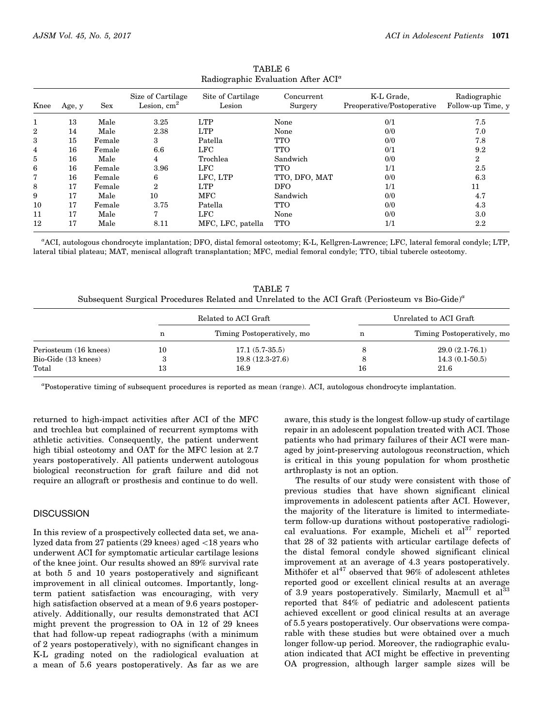| Knee | Age, y | Sex    | Size of Cartilage<br>Lesion, $cm2$ | Site of Cartilage<br>Lesion | Concurrent<br>Surgery | K-L Grade,<br>Preoperative/Postoperative | Radiographic<br>Follow-up Time, y |
|------|--------|--------|------------------------------------|-----------------------------|-----------------------|------------------------------------------|-----------------------------------|
| 1    | 13     | Male   | 3.25                               | <b>LTP</b>                  | None                  | 0/1                                      | 7.5                               |
| 2    | 14     | Male   | 2.38                               | <b>LTP</b>                  | None                  | 0/0                                      | 7.0                               |
| 3    | 15     | Female | 3                                  | Patella                     | <b>TTO</b>            | 0/0                                      | 7.8                               |
| 4    | 16     | Female | 6.6                                | LFC                         | <b>TTO</b>            | 0/1                                      | 9.2                               |
| 5    | 16     | Male   | 4                                  | Trochlea                    | Sandwich              | 0/0                                      | 2                                 |
| 6    | 16     | Female | 3.96                               | LFC                         | <b>TTO</b>            | 1/1                                      | 2.5                               |
| 7    | 16     | Female | 6                                  | LFC, LTP                    | TTO, DFO, MAT         | 0/0                                      | 6.3                               |
| 8    | 17     | Female | $\mathcal{D}_{\mathcal{L}}$        | <b>LTP</b>                  | <b>DFO</b>            | 1/1                                      | 11                                |
| 9    | 17     | Male   | 10                                 | MFC                         | Sandwich              | 0/0                                      | 4.7                               |
| 10   | 17     | Female | 3.75                               | Patella                     | <b>TTO</b>            | 0/0                                      | 4.3                               |
| 11   | 17     | Male   | 7                                  | LFC                         | None                  | 0/0                                      | $3.0\,$                           |
| 12   | 17     | Male   | 8.11                               | MFC, LFC, patella           | <b>TTO</b>            | 1/1                                      | $2.2\,$                           |

TABLE 6 Radiographic Evaluation After ACI<sup>a</sup>

a ACI, autologous chondrocyte implantation; DFO, distal femoral osteotomy; K-L, Kellgren-Lawrence; LFC, lateral femoral condyle; LTP, lateral tibial plateau; MAT, meniscal allograft transplantation; MFC, medial femoral condyle; TTO, tibial tubercle osteotomy.

TARLE 7 Subsequent Surgical Procedures Related and Unrelated to the ACI Graft (Periosteum vs Bio-Gide)<sup>a</sup> Related to ACI Graft Unrelated to ACI Graft

|                       | Related to ACI Graft |                            | Unrelated to ACI Graft |                            |
|-----------------------|----------------------|----------------------------|------------------------|----------------------------|
|                       | n                    | Timing Postoperatively, mo |                        | Timing Postoperatively, mo |
| Periosteum (16 knees) | 10                   | $17.1(5.7-35.5)$           |                        | $29.0(2.1-76.1)$           |
| Bio-Gide (13 knees)   | л.                   | $19.8(12.3-27.6)$          |                        | $14.3(0.1-50.5)$           |
| Total                 | 13                   | 16.9                       | 16                     | 21.6                       |

a Postoperative timing of subsequent procedures is reported as mean (range). ACI, autologous chondrocyte implantation.

returned to high-impact activities after ACI of the MFC and trochlea but complained of recurrent symptoms with athletic activities. Consequently, the patient underwent high tibial osteotomy and OAT for the MFC lesion at 2.7 years postoperatively. All patients underwent autologous biological reconstruction for graft failure and did not require an allograft or prosthesis and continue to do well.

#### **DISCUSSION**

In this review of a prospectively collected data set, we analyzed data from 27 patients (29 knees) aged \18 years who underwent ACI for symptomatic articular cartilage lesions of the knee joint. Our results showed an 89% survival rate at both 5 and 10 years postoperatively and significant improvement in all clinical outcomes. Importantly, longterm patient satisfaction was encouraging, with very high satisfaction observed at a mean of 9.6 years postoperatively. Additionally, our results demonstrated that ACI might prevent the progression to OA in 12 of 29 knees that had follow-up repeat radiographs (with a minimum of 2 years postoperatively), with no significant changes in K-L grading noted on the radiological evaluation at a mean of 5.6 years postoperatively. As far as we are

aware, this study is the longest follow-up study of cartilage repair in an adolescent population treated with ACI. Those patients who had primary failures of their ACI were managed by joint-preserving autologous reconstruction, which is critical in this young population for whom prosthetic arthroplasty is not an option.

The results of our study were consistent with those of previous studies that have shown significant clinical improvements in adolescent patients after ACI. However, the majority of the literature is limited to intermediateterm follow-up durations without postoperative radiological evaluations. For example, Micheli et  $al<sup>37</sup>$  reported that 28 of 32 patients with articular cartilage defects of the distal femoral condyle showed significant clinical improvement at an average of 4.3 years postoperatively. Mithöfer et  $al^{47}$  observed that 96% of adolescent athletes reported good or excellent clinical results at an average of 3.9 years postoperatively. Similarly, Macmull et  $al<sup>33</sup>$ reported that 84% of pediatric and adolescent patients achieved excellent or good clinical results at an average of 5.5 years postoperatively. Our observations were comparable with these studies but were obtained over a much longer follow-up period. Moreover, the radiographic evaluation indicated that ACI might be effective in preventing OA progression, although larger sample sizes will be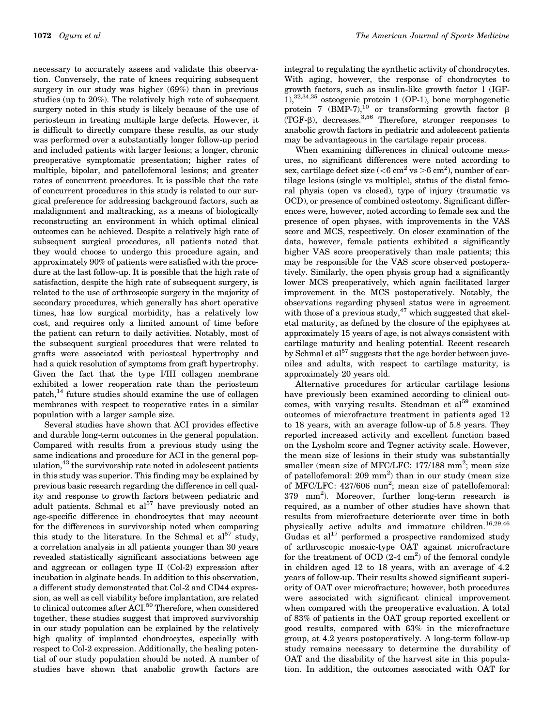necessary to accurately assess and validate this observation. Conversely, the rate of knees requiring subsequent surgery in our study was higher (69%) than in previous studies (up to 20%). The relatively high rate of subsequent surgery noted in this study is likely because of the use of periosteum in treating multiple large defects. However, it is difficult to directly compare these results, as our study was performed over a substantially longer follow-up period and included patients with larger lesions; a longer, chronic preoperative symptomatic presentation; higher rates of multiple, bipolar, and patellofemoral lesions; and greater rates of concurrent procedures. It is possible that the rate of concurrent procedures in this study is related to our surgical preference for addressing background factors, such as malalignment and maltracking, as a means of biologically reconstructing an environment in which optimal clinical outcomes can be achieved. Despite a relatively high rate of subsequent surgical procedures, all patients noted that they would choose to undergo this procedure again, and approximately 90% of patients were satisfied with the procedure at the last follow-up. It is possible that the high rate of satisfaction, despite the high rate of subsequent surgery, is related to the use of arthroscopic surgery in the majority of secondary procedures, which generally has short operative times, has low surgical morbidity, has a relatively low cost, and requires only a limited amount of time before the patient can return to daily activities. Notably, most of the subsequent surgical procedures that were related to grafts were associated with periosteal hypertrophy and had a quick resolution of symptoms from graft hypertrophy. Given the fact that the type I/III collagen membrane

exhibited a lower reoperation rate than the periosteum patch,14 future studies should examine the use of collagen membranes with respect to reoperative rates in a similar population with a larger sample size.

Several studies have shown that ACI provides effective and durable long-term outcomes in the general population. Compared with results from a previous study using the same indications and procedure for ACI in the general population, $43$  the survivorship rate noted in adolescent patients in this study was superior. This finding may be explained by previous basic research regarding the difference in cell quality and response to growth factors between pediatric and adult patients. Schmal et  $al^{57}$  have previously noted an age-specific difference in chondrocytes that may account for the differences in survivorship noted when comparing this study to the literature. In the Schmal et  $al^{57}$  study, a correlation analysis in all patients younger than 30 years revealed statistically significant associations between age and aggrecan or collagen type II (Col-2) expression after incubation in alginate beads. In addition to this observation, a different study demonstrated that Col-2 and CD44 expression, as well as cell viability before implantation, are related to clinical outcomes after ACI.<sup>50</sup> Therefore, when considered together, these studies suggest that improved survivorship in our study population can be explained by the relatively high quality of implanted chondrocytes, especially with respect to Col-2 expression. Additionally, the healing potential of our study population should be noted. A number of studies have shown that anabolic growth factors are

integral to regulating the synthetic activity of chondrocytes. With aging, however, the response of chondrocytes to growth factors, such as insulin-like growth factor 1 (IGF-1),32,34,35 osteogenic protein 1 (OP-1), bone morphogenetic protein 7 (BMP-7),<sup>10</sup> or transforming growth factor  $\beta$ (TGF-B), decreases.<sup>3,56</sup> Therefore, stronger responses to anabolic growth factors in pediatric and adolescent patients may be advantageous in the cartilage repair process.

When examining differences in clinical outcome measures, no significant differences were noted according to sex, cartilage defect size ( $<$ 6 cm<sup>2</sup> vs  $>$ 6 cm<sup>2</sup>), number of cartilage lesions (single vs multiple), status of the distal femoral physis (open vs closed), type of injury (traumatic vs OCD), or presence of combined osteotomy. Significant differences were, however, noted according to female sex and the presence of open physes, with improvements in the VAS score and MCS, respectively. On closer examination of the data, however, female patients exhibited a significantly higher VAS score preoperatively than male patients; this may be responsible for the VAS score observed postoperatively. Similarly, the open physis group had a significantly lower MCS preoperatively, which again facilitated larger improvement in the MCS postoperatively. Notably, the observations regarding physeal status were in agreement with those of a previous study, $47$  which suggested that skeletal maturity, as defined by the closure of the epiphyses at approximately 15 years of age, is not always consistent with cartilage maturity and healing potential. Recent research by Schmal et al $^{57}$  suggests that the age border between juveniles and adults, with respect to cartilage maturity, is approximately 20 years old.

Alternative procedures for articular cartilage lesions have previously been examined according to clinical out $comes$ , with varying results. Steadman et al<sup>59</sup> examined outcomes of microfracture treatment in patients aged 12 to 18 years, with an average follow-up of 5.8 years. They reported increased activity and excellent function based on the Lysholm score and Tegner activity scale. However, the mean size of lesions in their study was substantially smaller (mean size of MFC/LFC:  $177/188$  mm<sup>2</sup>; mean size of patellofemoral: 209 mm<sup>2</sup>) than in our study (mean size of MFC/LFC: 427/606 mm<sup>2</sup>; mean size of patellofemoral: 379 mm<sup>2</sup>). Moreover, further long-term research is required, as a number of other studies have shown that results from microfracture deteriorate over time in both physically active adults and immature children.<sup>16,29,46</sup> Gudas et  $al^{17}$  performed a prospective randomized study of arthroscopic mosaic-type OAT against microfracture for the treatment of OCD  $(2-4 \text{ cm}^2)$  of the femoral condyle in children aged 12 to 18 years, with an average of 4.2 years of follow-up. Their results showed significant superiority of OAT over microfracture; however, both procedures were associated with significant clinical improvement when compared with the preoperative evaluation. A total of 83% of patients in the OAT group reported excellent or good results, compared with 63% in the microfracture group, at 4.2 years postoperatively. A long-term follow-up study remains necessary to determine the durability of OAT and the disability of the harvest site in this population. In addition, the outcomes associated with OAT for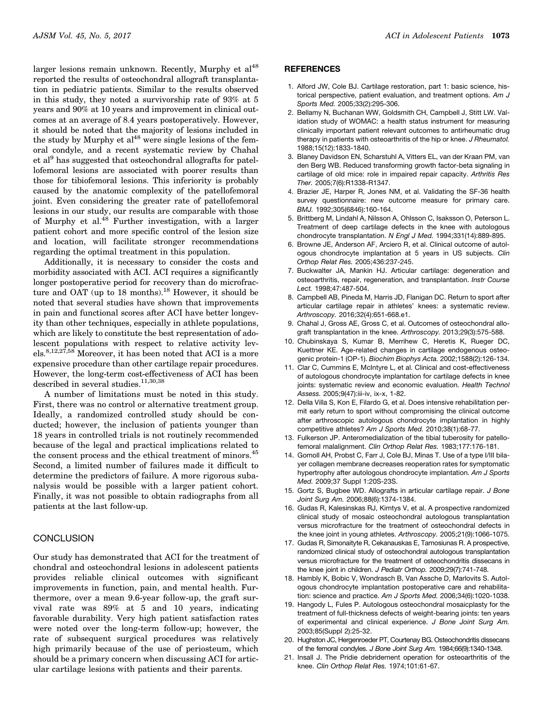larger lesions remain unknown. Recently, Murphy et al<sup>48</sup> reported the results of osteochondral allograft transplantation in pediatric patients. Similar to the results observed in this study, they noted a survivorship rate of 93% at 5 years and 90% at 10 years and improvement in clinical outcomes at an average of 8.4 years postoperatively. However, it should be noted that the majority of lesions included in the study by Murphy et  $al^{48}$  were single lesions of the femoral condyle, and a recent systematic review by Chahal et al9 has suggested that osteochondral allografts for patellofemoral lesions are associated with poorer results than those for tibiofemoral lesions. This inferiority is probably caused by the anatomic complexity of the patellofemoral joint. Even considering the greater rate of patellofemoral lesions in our study, our results are comparable with those of Murphy et al.48 Further investigation, with a larger patient cohort and more specific control of the lesion size and location, will facilitate stronger recommendations regarding the optimal treatment in this population.

Additionally, it is necessary to consider the costs and morbidity associated with ACI. ACI requires a significantly longer postoperative period for recovery than do microfracture and OAT (up to 18 months).<sup>18</sup> However, it should be noted that several studies have shown that improvements in pain and functional scores after ACI have better longevity than other techniques, especially in athlete populations, which are likely to constitute the best representation of adolescent populations with respect to relative activity lev $e$ ls.<sup>8,12,27,58</sup> Moreover, it has been noted that ACI is a more expensive procedure than other cartilage repair procedures. However, the long-term cost-effectiveness of ACI has been described in several studies. $11,30,38$ 

A number of limitations must be noted in this study. First, there was no control or alternative treatment group. Ideally, a randomized controlled study should be conducted; however, the inclusion of patients younger than 18 years in controlled trials is not routinely recommended because of the legal and practical implications related to the consent process and the ethical treatment of minors.<sup>45</sup> Second, a limited number of failures made it difficult to determine the predictors of failure. A more rigorous subanalysis would be possible with a larger patient cohort. Finally, it was not possible to obtain radiographs from all patients at the last follow-up.

# **CONCLUSION**

Our study has demonstrated that ACI for the treatment of chondral and osteochondral lesions in adolescent patients provides reliable clinical outcomes with significant improvements in function, pain, and mental health. Furthermore, over a mean 9.6-year follow-up, the graft survival rate was 89% at 5 and 10 years, indicating favorable durability. Very high patient satisfaction rates were noted over the long-term follow-up; however, the rate of subsequent surgical procedures was relatively high primarily because of the use of periosteum, which should be a primary concern when discussing ACI for articular cartilage lesions with patients and their parents.

#### **REFERENCES**

- 1. Alford JW, Cole BJ. Cartilage restoration, part 1: basic science, historical perspective, patient evaluation, and treatment options. *Am J Sports Med.* 2005;33(2):295-306.
- 2. Bellamy N, Buchanan WW, Goldsmith CH, Campbell J, Stitt LW. Validation study of WOMAC: a health status instrument for measuring clinically important patient relevant outcomes to antirheumatic drug therapy in patients with osteoarthritis of the hip or knee. *J Rheumatol.* 1988;15(12):1833-1840.
- 3. Blaney Davidson EN, Scharstuhl A, Vitters EL, van der Kraan PM, van den Berg WB. Reduced transforming growth factor-beta signaling in cartilage of old mice: role in impaired repair capacity. *Arthritis Res Ther.* 2005;7(6):R1338-R1347.
- 4. Brazier JE, Harper R, Jones NM, et al. Validating the SF-36 health survey questionnaire: new outcome measure for primary care. *BMJ.* 1992;305(6846):160-164.
- 5. Brittberg M, Lindahl A, Nilsson A, Ohlsson C, Isaksson O, Peterson L. Treatment of deep cartilage defects in the knee with autologous chondrocyte transplantation. *N Engl J Med.* 1994;331(14):889-895.
- 6. Browne JE, Anderson AF, Arciero R, et al. Clinical outcome of autologous chondrocyte implantation at 5 years in US subjects. *Clin Orthop Relat Res.* 2005;436:237-245.
- 7. Buckwalter JA, Mankin HJ. Articular cartilage: degeneration and osteoarthritis, repair, regeneration, and transplantation. *Instr Course Lect.* 1998;47:487-504.
- 8. Campbell AB, Pineda M, Harris JD, Flanigan DC. Return to sport after articular cartilage repair in athletes' knees: a systematic review. *Arthroscopy.* 2016;32(4):651-668.e1.
- 9. Chahal J, Gross AE, Gross C, et al. Outcomes of osteochondral allograft transplantation in the knee. *Arthroscopy.* 2013;29(3):575-588.
- 10. Chubinskaya S, Kumar B, Merrihew C, Heretis K, Rueger DC, Kuettner KE. Age-related changes in cartilage endogenous osteogenic protein-1 (OP-1). *Biochim Biophys Acta.* 2002;1588(2):126-134.
- 11. Clar C, Cummins E, McIntyre L, et al. Clinical and cost-effectiveness of autologous chondrocyte implantation for cartilage defects in knee joints: systematic review and economic evaluation. *Health Technol Assess.* 2005;9(47):iii-iv, ix-x, 1-82.
- 12. Della Villa S, Kon E, Filardo G, et al. Does intensive rehabilitation permit early return to sport without compromising the clinical outcome after arthroscopic autologous chondrocyte implantation in highly competitive athletes? *Am J Sports Med.* 2010;38(1):68-77.
- 13. Fulkerson JP. Anteromedialization of the tibial tuberosity for patellofemoral malalignment. *Clin Orthop Relat Res.* 1983;177:176-181.
- 14. Gomoll AH, Probst C, Farr J, Cole BJ, Minas T. Use of a type I/III bilayer collagen membrane decreases reoperation rates for symptomatic hypertrophy after autologous chondrocyte implantation. *Am J Sports Med.* 2009;37 Suppl 1:20S-23S.
- 15. Gortz S, Bugbee WD. Allografts in articular cartilage repair. *J Bone Joint Surg Am.* 2006;88(6):1374-1384.
- 16. Gudas R, Kalesinskas RJ, Kimtys V, et al. A prospective randomized clinical study of mosaic osteochondral autologous transplantation versus microfracture for the treatment of osteochondral defects in the knee joint in young athletes. *Arthroscopy.* 2005;21(9):1066-1075.
- 17. Gudas R, Simonaityte R, Cekanauskas E, Tamosiunas R. A prospective, randomized clinical study of osteochondral autologous transplantation versus microfracture for the treatment of osteochondritis dissecans in the knee joint in children. *J Pediatr Orthop.* 2009;29(7):741-748.
- 18. Hambly K, Bobic V, Wondrasch B, Van Assche D, Marlovits S. Autologous chondrocyte implantation postoperative care and rehabilitation: science and practice. *Am J Sports Med.* 2006;34(6):1020-1038.
- 19. Hangody L, Fules P. Autologous osteochondral mosaicplasty for the treatment of full-thickness defects of weight-bearing joints: ten years of experimental and clinical experience. *J Bone Joint Surg Am.* 2003;85(Suppl 2):25-32.
- 20. Hughston JC, Hergenroeder PT, Courtenay BG. Osteochondritis dissecans of the femoral condyles. *J Bone Joint Surg Am.* 1984;66(9):1340-1348.
- 21. Insall J. The Pridie debridement operation for osteoarthritis of the knee. *Clin Orthop Relat Res.* 1974;101:61-67.